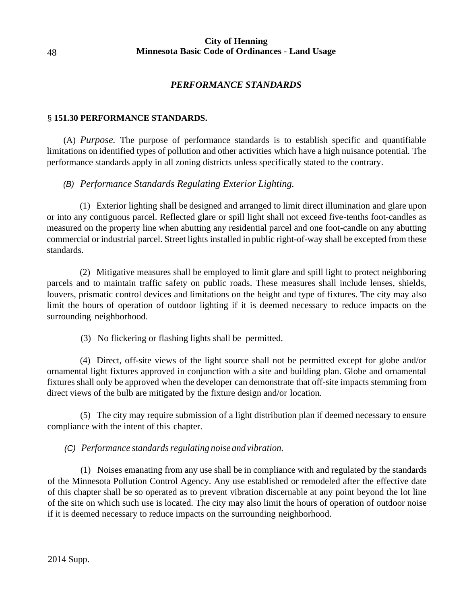## **City of Henning Minnesota Basic Code of Ordinances** - **Land Usage**

## *PERFORMANCE STANDARDS*

### § **151.30 PERFORMANCE STANDARDS.**

(A) *Purpose.* The purpose of performance standards is to establish specific and quantifiable limitations on identified types of pollution and other activities which have a high nuisance potential. The performance standards apply in all zoning districts unless specifically stated to the contrary.

## *(B) Performance Standards Regulating Exterior Lighting.*

(1) Exterior lighting shall be designed and arranged to limit direct illumination and glare upon or into any contiguous parcel. Reflected glare or spill light shall not exceed five-tenths foot-candles as measured on the property line when abutting any residential parcel and one foot-candle on any abutting commercial or industrial parcel. Street lights installed in public right-of-way shall be excepted from these standards.

(2) Mitigative measures shall be employed to limit glare and spill light to protect neighboring parcels and to maintain traffic safety on public roads. These measures shall include lenses, shields, louvers, prismatic control devices and limitations on the height and type of fixtures. The city may also limit the hours of operation of outdoor lighting if it is deemed necessary to reduce impacts on the surrounding neighborhood.

(3) No flickering or flashing lights shall be permitted.

(4) Direct, off-site views of the light source shall not be permitted except for globe and/or ornamental light fixtures approved in conjunction with a site and building plan. Globe and ornamental fixtures shall only be approved when the developer can demonstrate that off-site impacts stemming from direct views of the bulb are mitigated by the fixture design and/or location.

(5) The city may require submission of a light distribution plan if deemed necessary to ensure compliance with the intent of this chapter.

## *(C)* Performance standards regulating noise and vibration.

(1) Noises emanating from any use shall be in compliance with and regulated by the standards of the Minnesota Pollution Control Agency. Any use established or remodeled after the effective date of this chapter shall be so operated as to prevent vibration discernable at any point beyond the lot line of the site on which such use is located. The city may also limit the hours of operation of outdoor noise if it is deemed necessary to reduce impacts on the surrounding neighborhood.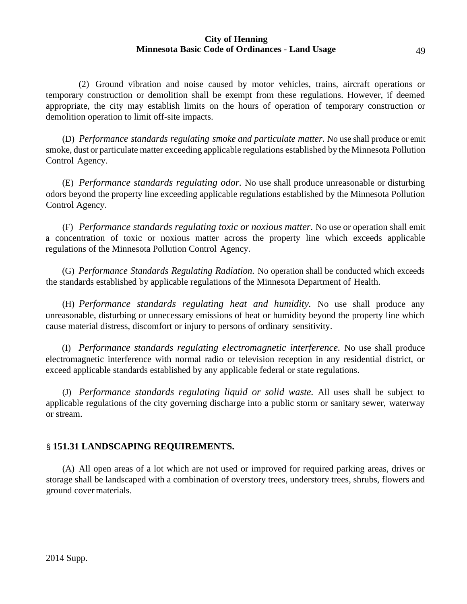# **City of Henning Minnesota Basic Code of Ordinances** - **Land Usage** 49

(2) Ground vibration and noise caused by motor vehicles, trains, aircraft operations or temporary construction or demolition shall be exempt from these regulations. However, if deemed appropriate, the city may establish limits on the hours of operation of temporary construction or demolition operation to limit off-site impacts.

(D) *Performance standards regulating smoke and particulate matter.* No use shall produce or emit smoke, dust or particulate matter exceeding applicable regulations established by the Minnesota Pollution Control Agency.

(E) *Performance standards regulating odor.* No use shall produce unreasonable or disturbing odors beyond the property line exceeding applicable regulations established by the Minnesota Pollution Control Agency.

(F) *Performance standards regulating toxic or noxious matter.* No use or operation shall emit a concentration of toxic or noxious matter across the property line which exceeds applicable regulations of the Minnesota Pollution Control Agency.

(G) *Performance Standards Regulating Radiation.* No operation shall be conducted which exceeds the standards established by applicable regulations of the Minnesota Department of Health.

(H) *Performance standards regulating heat and humidity.* No use shall produce any unreasonable, disturbing or unnecessary emissions of heat or humidity beyond the property line which cause material distress, discomfort or injury to persons of ordinary sensitivity.

(I) *Performance standards regulating electromagnetic interference.* No use shall produce electromagnetic interference with normal radio or television reception in any residential district, or exceed applicable standards established by any applicable federal or state regulations.

(J) *Performance standards regulating liquid or solid waste.* All uses shall be subject to applicable regulations of the city governing discharge into a public storm or sanitary sewer, waterway or stream.

# § **151.31 LANDSCAPING REQUIREMENTS.**

(A) All open areas of a lot which are not used or improved for required parking areas, drives or storage shall be landscaped with a combination of overstory trees, understory trees, shrubs, flowers and ground cover materials.